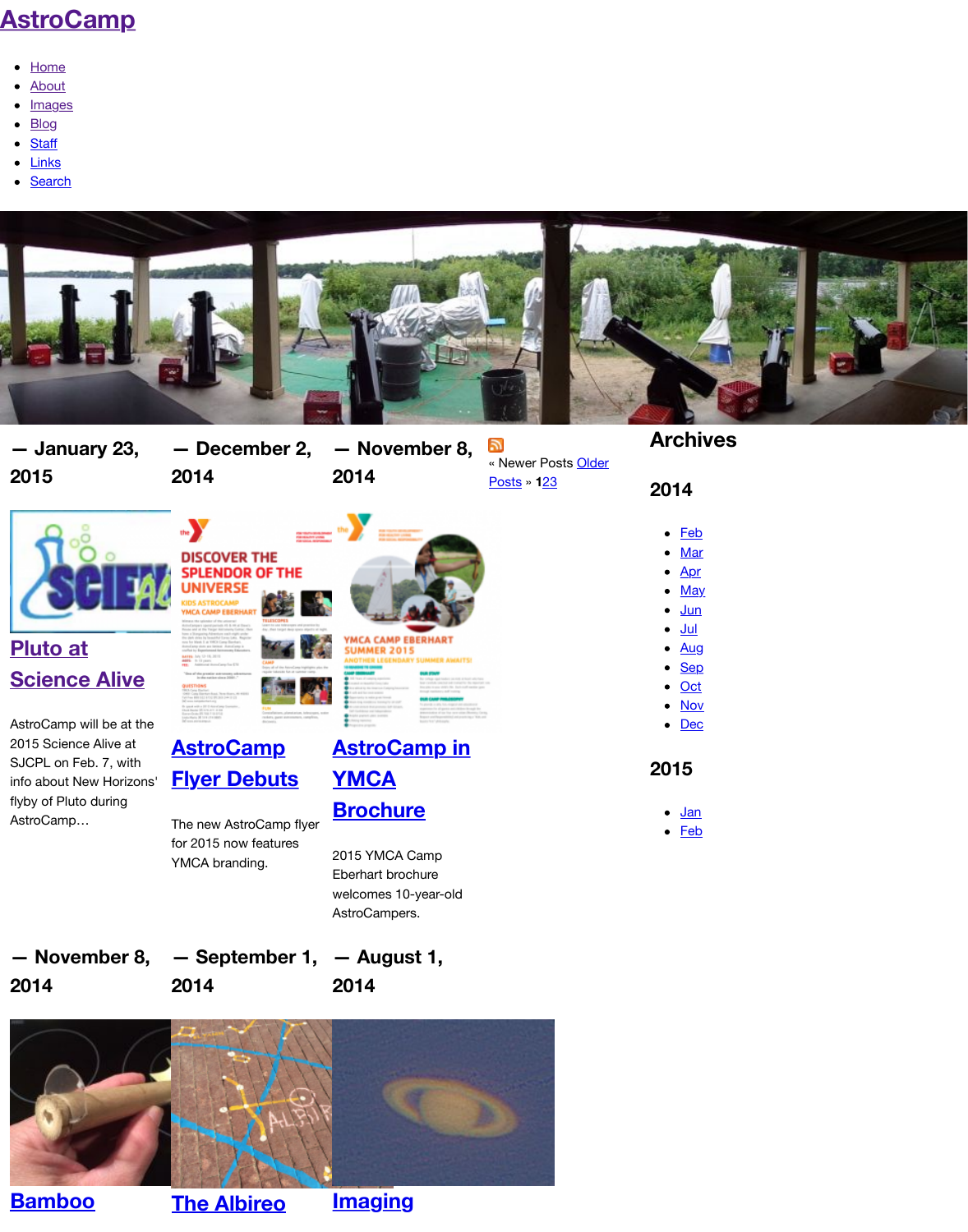**[— January 23,](http://www.astrocamp.us/) 2015**

## **— December 2, — November 8, 2014 2014**

 $\mathbb{Z}$ « Newer Posts Older Posts » **1**23



## **Pluto at Science Alive**

AstroCamp will be at the 2015 Science Alive at SJCPL on Feb. 7, with info about New Horizons' flyby of Pluto during AstroCamp…





The new AstroCamp flyer for 2015 now features YMCA branding.

## **AstroCamp in YMCA Brochure**

2015 YMCA Camp Eberhart brochure welcomes 10-year-old AstroCampers.

**[— November 8,](http://www.astrocamp.us/index.php/blog/pluto-science-alive/) [— September 1,](http://www.astrocamp.us/index.php/blog/astrocamp-flyer-debuts/) [— August 1,](http://www.astrocamp.us/index.php/blog/astrocamp-ymca-brochure/) 2014**

**2014**

**2014**



**Bamboo**

**[The Albireo](http://www.astrocamp.us/index.php/blog/astrocamp-flyer-debuts/)**

**[Imaging](http://www.astrocamp.us/index.php/blog/astrocamp-ymca-brochure/)**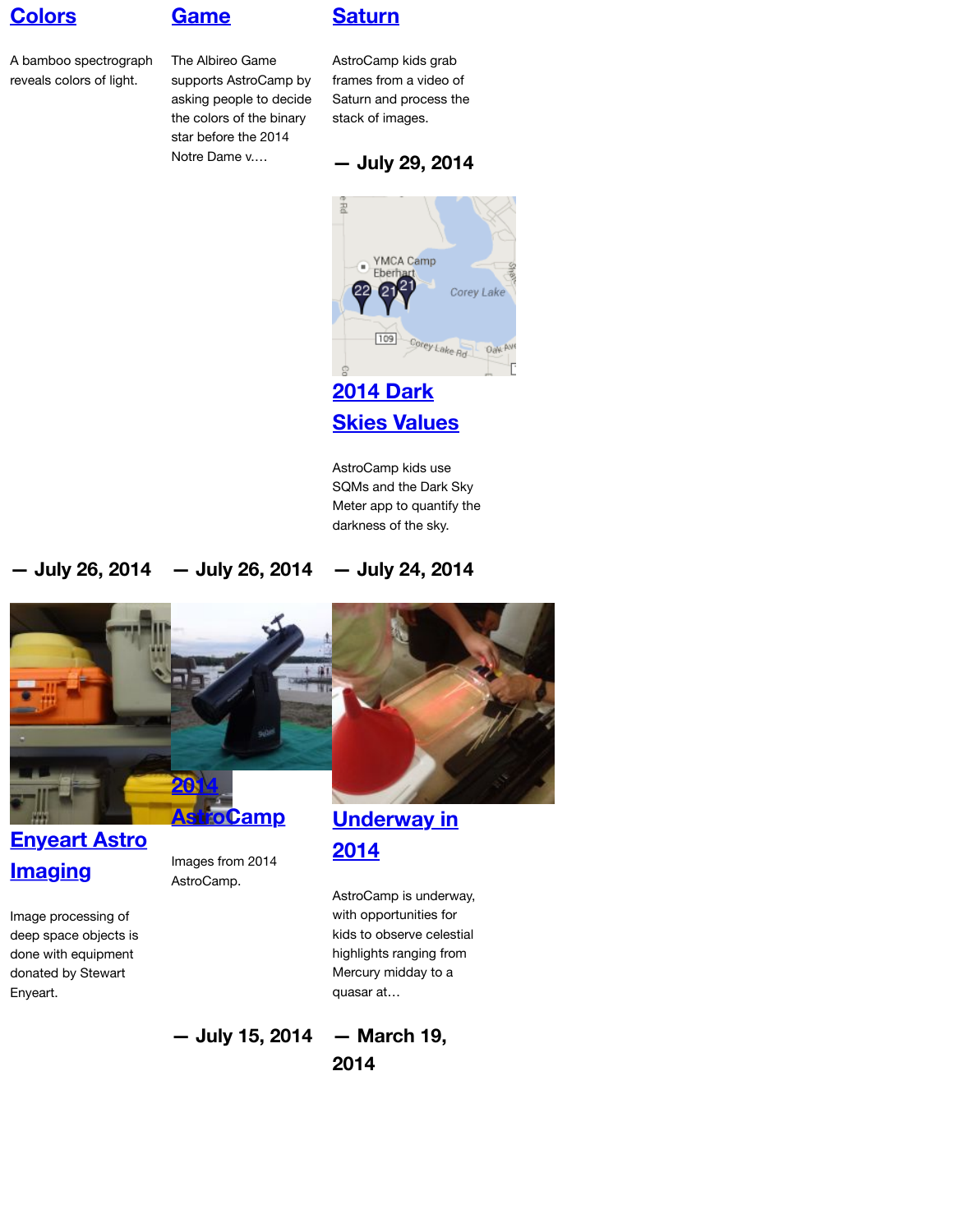[AstroCamp kid](http://www.astrocamp.us/index.php/blog/imaging-saturn/)s use SQMs and the Dark Sky Meter app to quantify the darkness of the sky.

**— July 26, 2014 — July 26, 2014 — July 24, 2014**



## **Enyeart Astro Imaging**

Images from 2014 AstroCamp.

**[Underway in](http://www.astrocamp.us/index.php/blog/2014-dark-skies-values/) 2014**

Image processing of deep space objects is done with equipment donated by Stewart Enyeart.

AstroCamp is underway, with opportunities for kids to observe celestial highlights ranging from Mercury midday to a quasar at…

**[— Jul](http://www.astrocamp.us/index.php/blog/enyeart-astro-imaging/)[y 15, 2014](http://www.astrocamp.us/index.php/blog/2014/) [— March 19,](http://www.astrocamp.us/index.php/blog/underway-in-2014/)**

**2014**